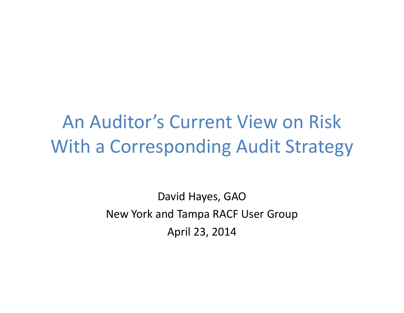An Auditor's Current View on Risk With <sup>a</sup> Corresponding Audit Strategy

> David Hayes, GAO New York and Tampa RACF User Group April 23, 2014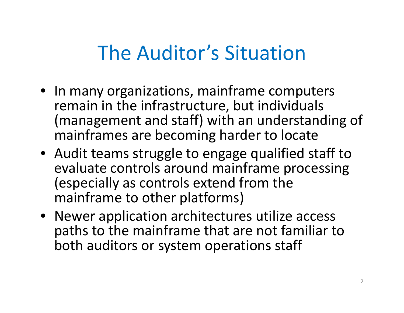#### The Auditor's Situation

- In many organizations, mainframe computers remain in the infrastructure, but individuals (management and staff) with an understanding of mainframes are becoming harder to locate
- Audit teams struggle to engage qualified staff to evaluate controls around mainframe processing (especially as controls extend from the mainframe to other platforms)
- Newer application architectures utilize access paths to the mainframe that are not familiar to both auditors or system operations staff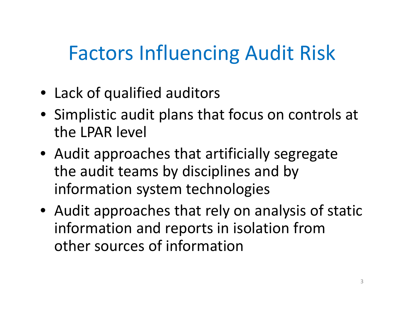## Factors Influencing Audit Risk

- Lack of qualified auditors
- Simplistic audit plans that focus on controls at the LPAR level
- Audit approaches that artificially segregate the audit teams by disciplines and by information system technologies
- Audit approaches that rely on analysis of static information and reports in isolation from other sources of information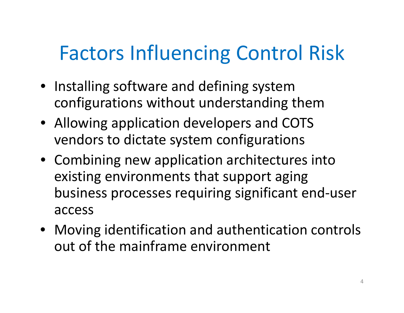# Factors Influencing Control Risk

- Installing software and defining system configurations without understanding them
- Allowing application developers and COTS vendors to dictate system configurations
- Combining new application architectures into existing environments that support aging business processes requiring significant end‐user access
- Moving identification and authentication controls out of the mainframe environment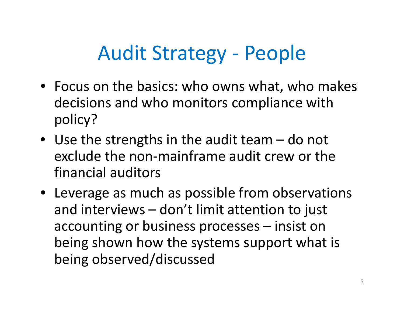## Audit Strategy ‐ People

- Focus on the basics: who owns what, who makes decisions and who monitors compliance with policy?
- Use the strengths in the audit team do not exclude the non‐mainframe audit crew or the financial auditors
- Leverage as much as possible from observations and interviews – don't limit attention to just accounting or business processes – insist on being shown how the systems support what is being observed/discussed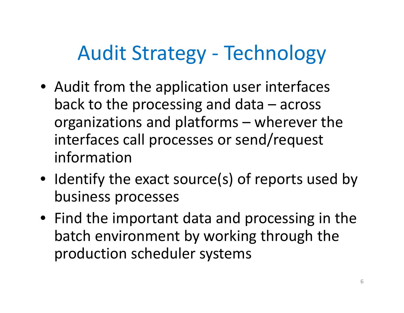# Audit Strategy ‐ Technology

- Audit from the application user interfaces back to the processing and data – across organizations and platforms – wherever the interfaces call processes or send/request information
- Identify the exact source(s) of reports used by business processes
- Find the important data and processing in the batch environment by working through the production scheduler systems